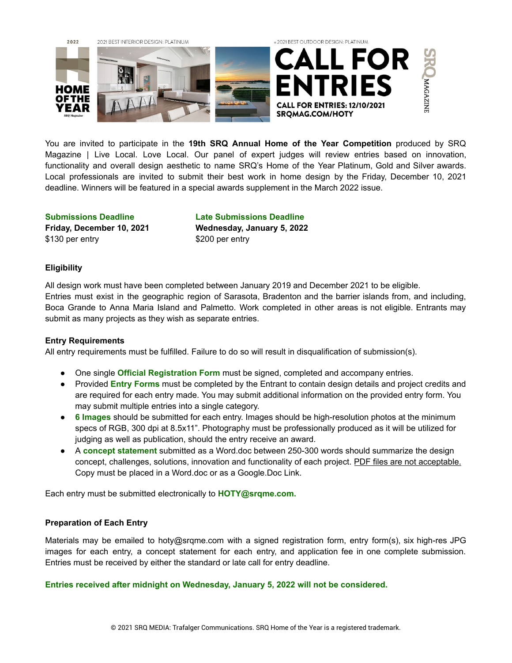

You are invited to participate in the **19th SRQ Annual Home of the Year Competition** produced by SRQ Magazine | Live Local. Love Local. Our panel of expert judges will review entries based on innovation, functionality and overall design aesthetic to name SRQ's Home of the Year Platinum, Gold and Silver awards. Local professionals are invited to submit their best work in home design by the Friday, December 10, 2021 deadline. Winners will be featured in a special awards supplement in the March 2022 issue.

\$130 per entry \$200 per entry

**Submissions Deadline Late Submissions Deadline Friday, December 10, 2021 Wednesday, January 5, 2022**

# **Eligibility**

All design work must have been completed between January 2019 and December 2021 to be eligible. Entries must exist in the geographic region of Sarasota, Bradenton and the barrier islands from, and including, Boca Grande to Anna Maria Island and Palmetto. Work completed in other areas is not eligible. Entrants may submit as many projects as they wish as separate entries.

# **Entry Requirements**

All entry requirements must be fulfilled. Failure to do so will result in disqualification of submission(s).

- One single **Official Registration Form** must be signed, completed and accompany entries.
- Provided **Entry Forms** must be completed by the Entrant to contain design details and project credits and are required for each entry made. You may submit additional information on the provided entry form. You may submit multiple entries into a single category.
- **6 Images** should be submitted for each entry. Images should be high-resolution photos at the minimum specs of RGB, 300 dpi at 8.5x11". Photography must be professionally produced as it will be utilized for judging as well as publication, should the entry receive an award.
- A **concept statement** submitted as a Word.doc between 250-300 words should summarize the design concept, challenges, solutions, innovation and functionality of each project. PDF files are not acceptable. Copy must be placed in a Word.doc or as a Google.Doc Link.

Each entry must be submitted electronically to **HOTY@srqme.com.**

# **Preparation of Each Entry**

Materials may be emailed to hoty@srqme.com with a signed registration form, entry form(s), six high-res JPG images for each entry, a concept statement for each entry, and application fee in one complete submission. Entries must be received by either the standard or late call for entry deadline.

**Entries received after midnight on Wednesday, January 5, 2022 will not be considered.**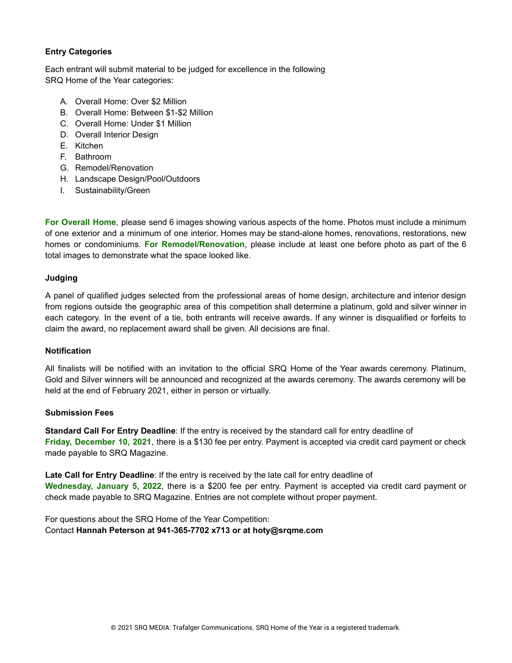# **Entry Categories**

Each entrant will submit material to be judged for excellence in the following SRQ Home of the Year categories:

- A. Overall Home: Over \$2 Million
- B. Overall Home: Between \$1-\$2 Million
- C. Overall Home: Under \$1 Million
- D. Overall Interior Design
- E. Kitchen
- F. Bathroom
- G. Remodel/Renovation
- H. Landscape Design/Pool/Outdoors
- I. Sustainability/Green

**For Overall Home**, please send 6 images showing various aspects of the home. Photos must include a minimum of one exterior and a minimum of one interior. Homes may be stand-alone homes, renovations, restorations, new homes or condominiums. **For Remodel/Renovation**, please include at least one before photo as part of the 6 total images to demonstrate what the space looked like.

## **Judging**

A panel of qualified judges selected from the professional areas of home design, architecture and interior design from regions outside the geographic area of this competition shall determine a platinum, gold and silver winner in each category. In the event of a tie, both entrants will receive awards. If any winner is disqualified or forfeits to claim the award, no replacement award shall be given. All decisions are final.

## **Notification**

All finalists will be notified with an invitation to the official SRQ Home of the Year awards ceremony. Platinum, Gold and Silver winners will be announced and recognized at the awards ceremony. The awards ceremony will be held at the end of February 2021, either in person or virtually.

## **Submission Fees**

**Standard Call For Entry Deadline**: If the entry is received by the standard call for entry deadline of **Friday, December 10, 2021**, there is a \$130 fee per entry. Payment is accepted via credit card payment or check made payable to SRQ Magazine.

**Late Call for Entry Deadline**: If the entry is received by the late call for entry deadline of **Wednesday, January 5, 2022**, there is a \$200 fee per entry. Payment is accepted via credit card payment or check made payable to SRQ Magazine. Entries are not complete without proper payment.

For questions about the SRQ Home of the Year Competition: Contact **Hannah Peterson at 941-365-7702 x713 or at hoty@srqme.com**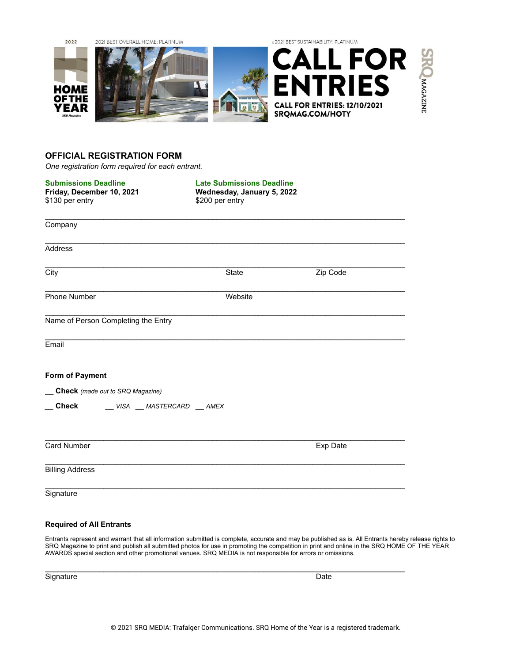

## **OFFICIAL REGISTRATION FORM**

*One registration form required for each entrant.*

| <b>Submissions Deadline</b><br>Friday, December 10, 2021<br>\$130 per entry | <b>Late Submissions Deadline</b><br>Wednesday, January 5, 2022<br>\$200 per entry |          |
|-----------------------------------------------------------------------------|-----------------------------------------------------------------------------------|----------|
| Company                                                                     |                                                                                   |          |
| <b>Address</b>                                                              |                                                                                   |          |
| $\overline{City}$                                                           | State                                                                             | Zip Code |
| Phone Number                                                                | Website                                                                           |          |
| Name of Person Completing the Entry                                         |                                                                                   |          |
| Email                                                                       |                                                                                   |          |
| Form of Payment                                                             |                                                                                   |          |
| Check (made out to SRQ Magazine)                                            |                                                                                   |          |
| <b>Check</b><br>VISA __ MASTERCARD __ AMEX                                  |                                                                                   |          |
| Card Number                                                                 |                                                                                   | Exp Date |
| <b>Billing Address</b>                                                      |                                                                                   |          |
| Signature                                                                   |                                                                                   |          |

## **Required of All Entrants**

Entrants represent and warrant that all information submitted is complete, accurate and may be published as is. All Entrants hereby release rights to SRQ Magazine to print and publish all submitted photos for use in promoting the competition in print and online in the SRQ HOME OF THE YEAR AWARDS special section and other promotional venues. SRQ MEDIA is not responsible for errors or omissions.

\_\_\_\_\_\_\_\_\_\_\_\_\_\_\_\_\_\_\_\_\_\_\_\_\_\_\_\_\_\_\_\_\_\_\_\_\_\_\_\_\_\_\_\_\_\_\_\_\_\_\_\_\_\_\_\_\_\_\_\_\_\_\_\_\_\_\_\_\_\_\_\_\_\_\_\_\_\_\_\_\_\_\_\_\_\_

Signature Date Date of the Contract of the Contract of the Contract of the Date Date Date Date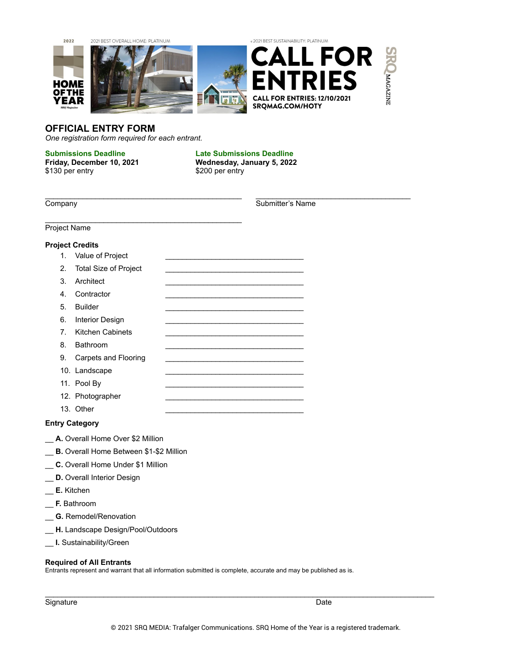

# **OFFICIAL ENTRY FORM**

*One registration form required for each entrant.*

 $\mathcal{L}_\text{max}$  , and the set of the set of the set of the set of the set of the set of the set of the set of the set of the set of the set of the set of the set of the set of the set of the set of the set of the set of the

\$130 per entry \$200 per entry

**Submissions Deadline Late Submissions Deadline Friday, December 10, 2021 Wednesday, January 5, 2022**

\_\_\_\_\_\_\_\_\_\_\_\_\_\_\_\_\_\_\_\_\_\_\_\_\_\_\_\_\_\_\_\_\_\_\_\_\_\_\_\_\_\_\_\_\_\_\_ \_\_\_\_\_\_\_\_\_\_\_\_\_\_\_\_\_\_\_\_\_\_\_\_\_\_\_\_\_\_\_\_\_\_\_\_\_

Submitter's Name

Project Name

## **Project Credits**

- 1. Value of Project
- 2. Total Size of Project
- 3. Architect
- 4. Contractor
- 5. Builder
- 6. Interior Design
- 7. Kitchen Cabinets
- 8. Bathroom
- 9. Carpets and Flooring
- 10. Landscape
- 11. Pool By
- 12. Photographer
- 13. Other

## **Entry Category**

- \_\_ **A.** Overall Home Over \$2 Million
- \_\_ **B.** Overall Home Between \$1-\$2 Million
- \_\_ **C.** Overall Home Under \$1 Million
- \_\_ **D.** Overall Interior Design
- \_\_ **E.** Kitchen
- \_\_ **F.** Bathroom
- \_\_ **G.** Remodel/Renovation
- \_\_ **H.** Landscape Design/Pool/Outdoors
- \_\_ **I.** Sustainability/Green

### **Required of All Entrants**

Entrants represent and warrant that all information submitted is complete, accurate and may be published as is.

Signature Date

\_\_\_\_\_\_\_\_\_\_\_\_\_\_\_\_\_\_\_\_\_\_\_\_\_\_\_\_\_\_\_\_\_\_\_\_\_\_\_\_\_\_\_\_\_\_\_\_\_\_\_\_\_\_\_\_\_\_\_\_\_\_\_\_\_\_\_\_\_\_\_\_\_\_\_\_\_\_\_\_\_\_\_\_\_\_\_\_\_\_\_\_\_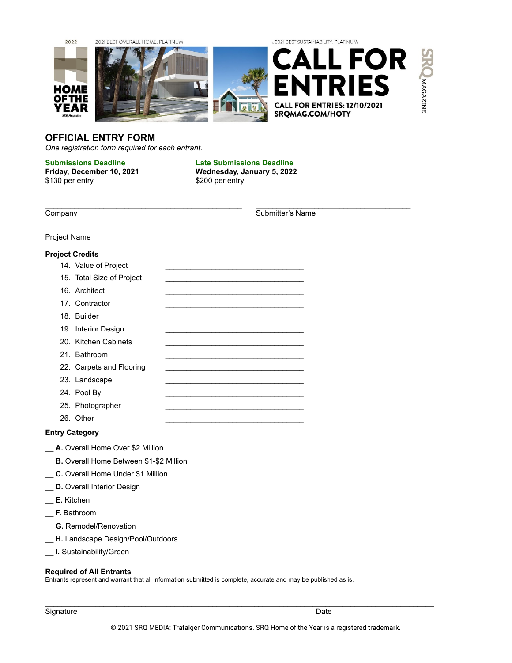

# **OFFICIAL ENTRY FORM**

*One registration form required for each entrant.*

 $\mathcal{L}_\text{max}$  , and the set of the set of the set of the set of the set of the set of the set of the set of the set of the set of the set of the set of the set of the set of the set of the set of the set of the set of the

\$130 per entry \$200 per entry

**Submissions Deadline Late Submissions Deadline Friday, December 10, 2021 Wednesday, January 5, 2022**

\_\_\_\_\_\_\_\_\_\_\_\_\_\_\_\_\_\_\_\_\_\_\_\_\_\_\_\_\_\_\_\_\_\_\_\_\_\_\_\_\_\_\_\_\_\_\_ \_\_\_\_\_\_\_\_\_\_\_\_\_\_\_\_\_\_\_\_\_\_\_\_\_\_\_\_\_\_\_\_\_\_\_\_\_

**Company** Submitter's Name

Project Name

### **Project Credits**

- 14. Value of Project
- 15. Total Size of Project
- 16. Architect
- 17. Contractor
- 18. Builder
- 19. Interior Design
- 20. Kitchen Cabinets
- 21. Bathroom
- 22. Carpets and Flooring
- 23. Landscape
- 24. Pool By
- 25. Photographer
- 26. Other

### **Entry Category**

- A. Overall Home Over \$2 Million
- **B.** Overall Home Between \$1-\$2 Million
- \_\_ **C.** Overall Home Under \$1 Million
- \_\_ **D.** Overall Interior Design
- \_\_ **E.** Kitchen
- \_\_ **F.** Bathroom
- \_\_ **G.** Remodel/Renovation
- \_\_ **H.** Landscape Design/Pool/Outdoors
- \_\_ **I.** Sustainability/Green

#### **Required of All Entrants**

Entrants represent and warrant that all information submitted is complete, accurate and may be published as is.

\_\_\_\_\_\_\_\_\_\_\_\_\_\_\_\_\_\_\_\_\_\_\_\_\_\_\_\_\_\_\_\_\_\_\_\_\_\_\_\_\_\_\_\_\_\_\_\_\_\_\_\_\_\_\_\_\_\_\_\_\_\_\_\_\_\_\_\_\_\_\_\_\_\_\_\_\_\_\_\_\_\_\_\_\_\_\_\_\_\_\_\_\_